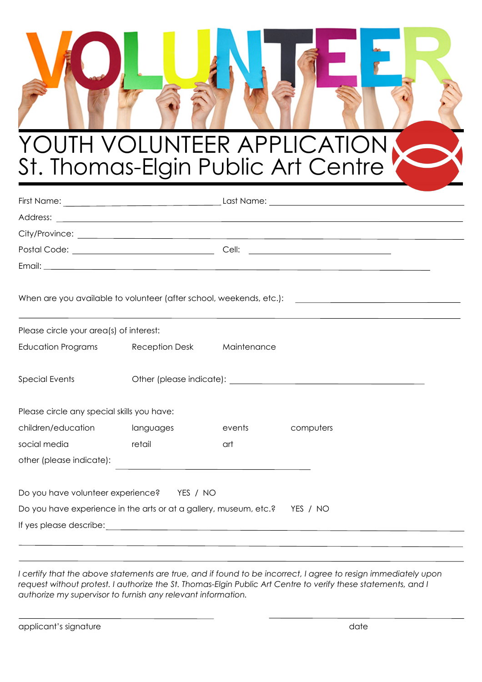## YOUTH VOLUNTEER APPLICATION St. Thomas-Elgin Public Art Centre

| When are you available to volunteer (after school, weekends, etc.): [ <i>[Contenting are you available to volunteer (after school, weekends, etc.</i> ): |                            |        |           |  |  |
|----------------------------------------------------------------------------------------------------------------------------------------------------------|----------------------------|--------|-----------|--|--|
| Please circle your area(s) of interest:                                                                                                                  |                            |        |           |  |  |
| Education Programs                                                                                                                                       | Reception Desk Maintenance |        |           |  |  |
| <b>Special Events</b>                                                                                                                                    |                            |        |           |  |  |
| Please circle any special skills you have:                                                                                                               |                            |        |           |  |  |
| children/education                                                                                                                                       | languages                  | events | computers |  |  |
| social media<br>e a componente de la contrata de la contrata de la contrata de la contrata de la contrata de la contrata de la                           |                            | art    |           |  |  |
| other (please indicate):                                                                                                                                 |                            |        |           |  |  |
| Do you have volunteer experience? YES / NO                                                                                                               |                            |        |           |  |  |
| Do you have experience in the arts or at a gallery, museum, etc.? YES / NO                                                                               |                            |        |           |  |  |
|                                                                                                                                                          |                            |        |           |  |  |
|                                                                                                                                                          |                            |        |           |  |  |

*I certify that the above statements are true, and if found to be incorrect, I agree to resign immediately upon request without protest. I authorize the St. Thomas-Elgin Public Art Centre to verify these statements, and I authorize my supervisor to furnish any relevant information.* 

applicant's signature date date of the state of the state date of the date of the date of the date of the date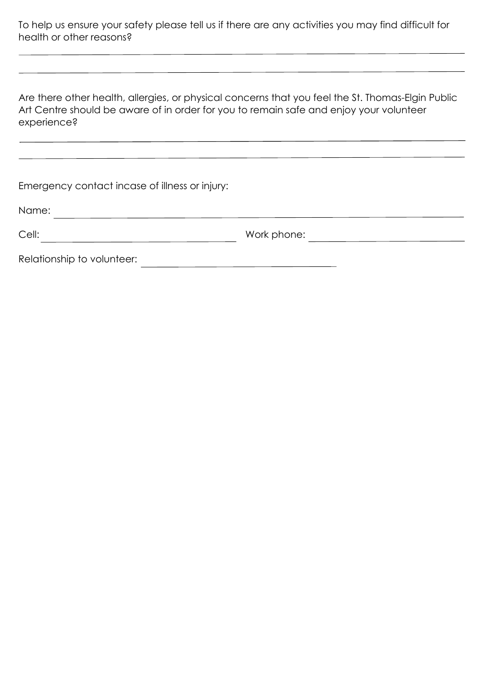To help us ensure your safety please tell us if there are any activities you may find difficult for health or other reasons?

Are there other health, allergies, or physical concerns that you feel the St. Thomas-Elgin Public Art Centre should be aware of in order for you to remain safe and enjoy your volunteer experience?

| Emergency contact incase of illness or injury: |             |
|------------------------------------------------|-------------|
| Name:                                          |             |
| Cell:                                          | Work phone: |
| Relationship to volunteer:                     |             |